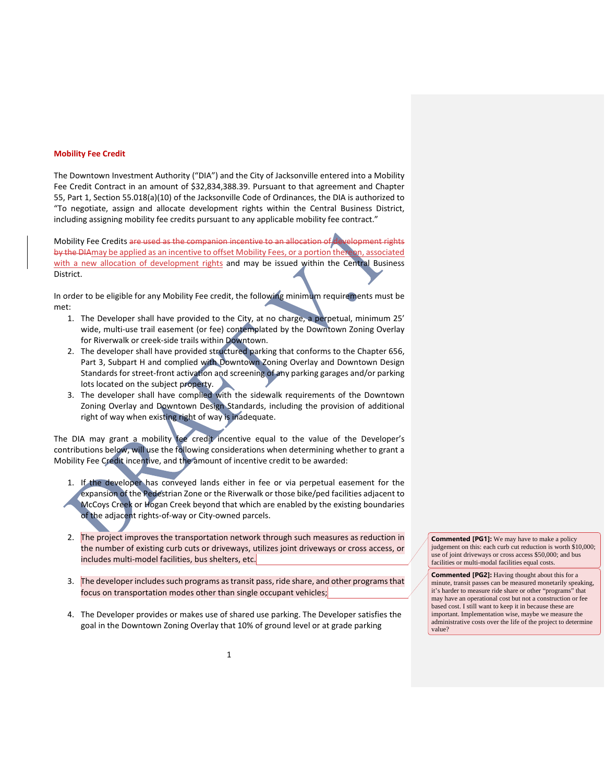## **Mobility Fee Credit**

The Downtown Investment Authority ("DIA") and the City of Jacksonville entered into a Mobility Fee Credit Contract in an amount of \$32,834,388.39. Pursuant to that agreement and Chapter 55, Part 1, Section 55.018(a)(10) of the Jacksonville Code of Ordinances, the DIA is authorized to "To negotiate, assign and allocate development rights within the Central Business District, including assigning mobility fee credits pursuant to any applicable mobility fee contract."

Mobility Fee Credits are used as the companion incentive to an allocation of development rights by the DIAmay be applied as an incentive to offset Mobility Fees, or a portion thereon, associated with a new allocation of development rights and may be issued within the Central Business District.

In order to be eligible for any Mobility Fee credit, the following minimum requirements must be met:

- 1. The Developer shall have provided to the City, at no charge, a perpetual, minimum 25' wide, multi-use trail easement (or fee) contemplated by the Downtown Zoning Overlay for Riverwalk or creek-side trails within Downtown.
- 2. The developer shall have provided structured parking that conforms to the Chapter 656, Part 3, Subpart H and complied with Downtown Zoning Overlay and Downtown Design Standards for street-front activation and screening of any parking garages and/or parking lots located on the subject property.
- 3. The developer shall have complied with the sidewalk requirements of the Downtown Zoning Overlay and Downtown Design Standards, including the provision of additional right of way when existing right of way is inadequate.

The DIA may grant a mobility fee credit incentive equal to the value of the Developer's contributions below, will use the following considerations when determining whether to grant a Mobility Fee Credit incentive, and the amount of incentive credit to be awarded:

- 1. If the developer has conveyed lands either in fee or via perpetual easement for the expansion of the Pedestrian Zone or the Riverwalk or those bike/ped facilities adjacent to McCoys Creek or Hogan Creek beyond that which are enabled by the existing boundaries of the adjacent rights-of-way or City-owned parcels.
- 2. The project improves the transportation network through such measures as reduction in the number of existing curb cuts or driveways, utilizes joint driveways or cross access, or includes multi-model facilities, bus shelters, etc.
- 3. The developer includes such programs as transit pass, ride share, and other programs that focus on transportation modes other than single occupant vehicles;
- 4. The Developer provides or makes use of shared use parking. The Developer satisfies the goal in the Downtown Zoning Overlay that 10% of ground level or at grade parking

**Commented [PG1]:** We may have to make a policy judgement on this: each curb cut reduction is worth \$10,000; use of joint driveways or cross access \$50,000; and bus facilities or multi-modal facilities equal costs.

**Commented [PG2]:** Having thought about this for a minute, transit passes can be measured monetarily speaking, it's harder to measure ride share or other "programs" that may have an operational cost but not a construction or fee based cost. I still want to keep it in because these are important. Implementation wise, maybe we measure the administrative costs over the life of the project to determine value?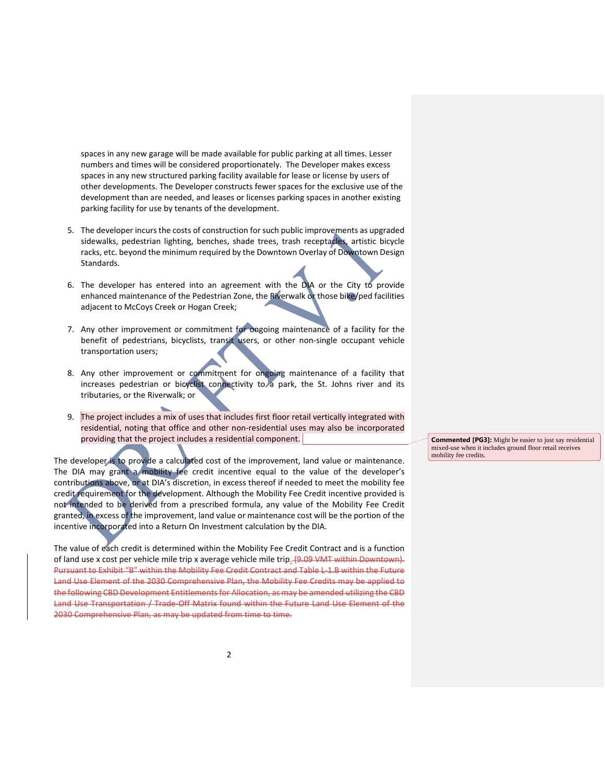spaces in any new garage will be made available for public parking at all times. Lesser numbers and times will be considered proportionately. The Developer makes excess spaces in any new structured parking facility available for lease or license by users of other developments. The Developer constructs fewer spaces for the exclusive use of the development than are needed, and leases or licenses parking spaces in another existing parking facility for use by tenants of the development.

- 5. The developer incurs the costs of construction for such public improvements as upgraded sidewalks, pedestrian lighting, benches, shade trees, trash receptacles, artistic bicycle racks, etc. beyond the minimum required by the Downtown Overlay of Downtown Design Standards.
- 6. The developer has entered into an agreement with the DIA or the City to provide enhanced maintenance of the Pedestrian Zone, the Riverwalk or those bike/ped facilities adjacent to McCoys Creek or Hogan Creek;
- 7. Any other improvement or commitment for ongoing maintenance of a facility for the benefit of pedestrians, bicyclists, transit users, or other non-single occupant vehicle transportation users;
- 8. Any other improvement or commitment for ongoing maintenance of a facility that increases pedestrian or bicyclist connectivity to a park, the St. Johns river and its tributaries, or the Riverwalk; or
- 9. The project includes a mix of uses that includes first floor retail vertically integrated with residential, noting that office and other non-residential uses may also be incorporated providing that the project includes a residential component.

The developer is to provide a calculated cost of the improvement, land value or maintenance. The DIA may grant a mobility fee credit incentive equal to the value of the developer's contributions above, or at DIA's discretion, in excess thereof if needed to meet the mobility fee credit requirement for the development. Although the Mobility Fee Credit incentive provided is not intended to be derived from a prescribed formula, any value of the Mobility Fee Credit granted, in excess of the improvement, land value or maintenance cost will be the portion of the incentive incorporated into a Return On Investment calculation by the DIA.

The value of each credit is determined within the Mobility Fee Credit Contract and is a function of land use x cost per vehicle mile trip x average vehicle mile trip<sub>-</sub>(9.09 VMT within Downtown). Pursuant to Exhibit "B" within the Mobility Fee Credit Contract and Table L-1.B within the Future Land Use Element of the 2030 Comprehensive Plan, the Mobility Fee Credits may be applied to the following CBD Development Entitlements for Allocation, as may be amended utilizing the CBD Land Use Transportation / Trade-Off Matrix found within the Future Land Use Element of the 2030 Comprehensive Plan, as may be updated from time to time.

**Commented [PG3]:** Might be easier to just say residential mixed-use when it includes ground floor retail receives mobility fee credits.